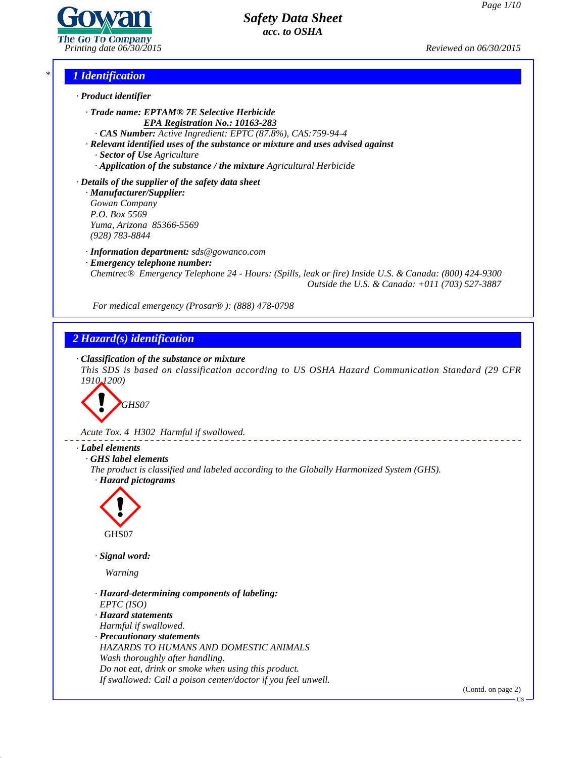

*Printing date 06/30/2015 Reviewed on 06/30/2015*

# *\* 1 Identification*



*· Trade name: EPTAM® 7E Selective Herbicide EPA Registration No.: 10163-283*

*· CAS Number: Active Ingredient: EPTC (87.8%), CAS:759-94-4*

*· Relevant identified uses of the substance or mixture and uses advised against · Sector of Use Agriculture*

*· Application of the substance / the mixture Agricultural Herbicide*

*· Details of the supplier of the safety data sheet · Manufacturer/Supplier:*

*Gowan Company P.O. Box 5569 Yuma, Arizona 85366-5569 (928) 783-8844*

*· Information department: sds@gowanco.com*

*· Emergency telephone number:*

*Chemtrec® Emergency Telephone 24 - Hours: (Spills, leak or fire) Inside U.S. & Canada: (800) 424-9300 Outside the U.S. & Canada: +011 (703) 527-3887*

*For medical emergency (Prosar® ): (888) 478-0798*

# *2 Hazard(s) identification*

*· Classification of the substance or mixture*

*This SDS is based on classification according to US OSHA Hazard Communication Standard (29 CFR 1910.1200)*



*Acute Tox. 4 H302 Harmful if swallowed.*

# *· Label elements*

*· GHS label elements*

*The product is classified and labeled according to the Globally Harmonized System (GHS). · Hazard pictograms*



*· Signal word:*

*Warning*

41.0

- *· Hazard-determining components of labeling: EPTC (ISO)*
- *· Hazard statements Harmful if swallowed.*

*· Precautionary statements HAZARDS TO HUMANS AND DOMESTIC ANIMALS Wash thoroughly after handling. Do not eat, drink or smoke when using this product. If swallowed: Call a poison center/doctor ifyou feel unwell.*

(Contd. on page 2)

US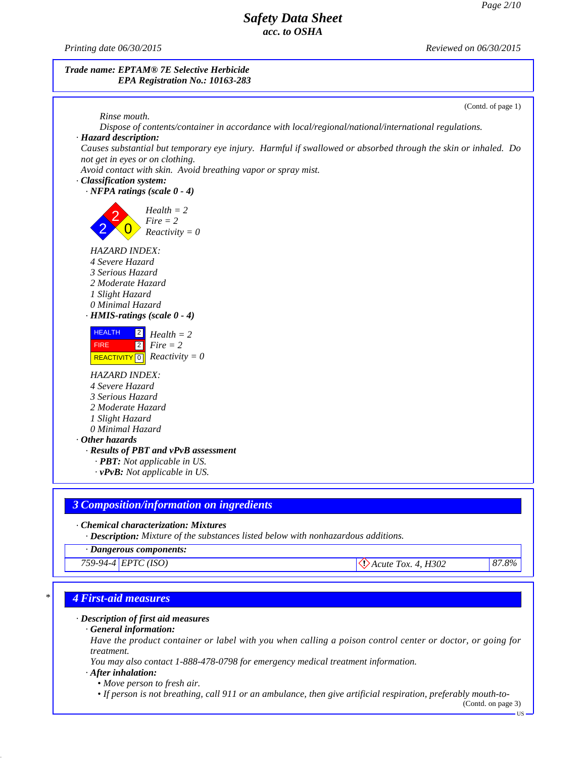*Printing date 06/30/2015 Reviewed on 06/30/2015*





## *· Chemical characterization: Mixtures*

*· Description: Mixture of the substances listed below with nonhazardous additions.*

*· Dangerous components:*

*759-94-4 EPTC (ISO)Acute Tox. 4, H302 87.8%*

## *\* 4 First-aid measures*

### *· Description of first aid measures*

*· General information:*

Have the product container or label with you when calling a poison control center or doctor, or going for *treatment.*

*You may also contact 1-888-478-0798 for emergency medical treatment information.*

### *· After inhalation:*

41.0

*• Move person to fresh air.*

• If person is not breathing, call 911 or an ambulance, then give artificial respiration, preferably mouth-to-

(Contd. on page 3)US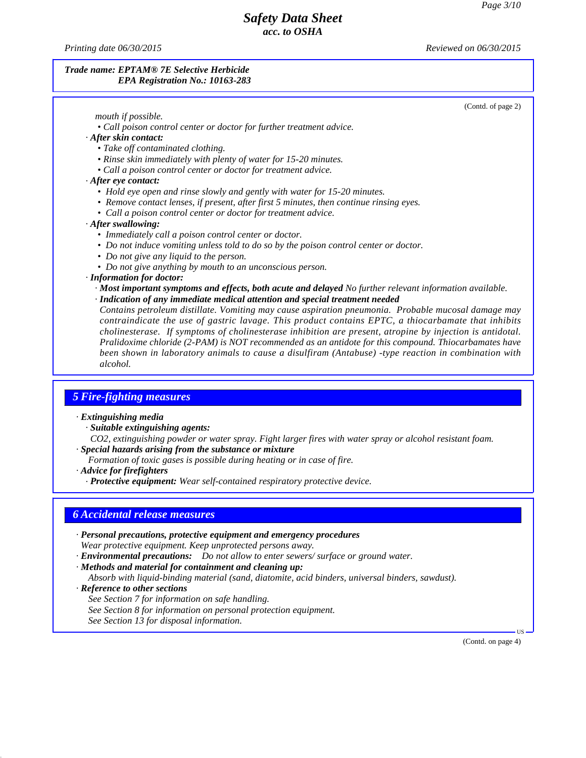*Printing date 06/30/2015 Reviewed on 06/30/2015*

### *Trade name: EPTAM® 7E Selective Herbicide EPA Registration No.: 10163-283*

(Contd. of page 2)

| mouth if possible. |  |
|--------------------|--|
|--------------------|--|

- *• Call poison control center or doctor for further treatment advice.*
- *· After skin contact:*
	- *• Take of contaminated clothing.*
	- *• Rinse skin immediately with plenty of water for 15-20 minutes.*
	- *• Call a poison control center or doctor for treatment advice.*

### *· After eye contact:*

- *• Hold eye open and rinse slowly and gently with water for 15-20 minutes.*
- *• Remove contact lenses, if present, after first 5 minutes, then continue rinsing eyes.*
- *• Call a poison control center or doctor for treatment advice.*

## *· After swallowing:*

- *• Immediately call a poison control center or doctor.*
- *• Do not induce vomiting unless told to do so by the poison control center or doctor.*
- *• Do not give any liquid to the person.*
- *• Do not give anything by mouth to an unconscious person.*

## *· Information for doctor:*

- *· Most important symptoms and effects, both acute and delayed No further relevant information available.*
- *· Indication of any immediate medical attention and special treatment needed*

*Contains petroleum distillate. Vomiting may cause aspiration pneumonia. Probable mucosal damage may contraindicate the use ofgastric lavage. This product contains EPTC, a thiocarbamate that inhibits cholinesterase. If symptoms of cholinesterase inhibition are present, atropine by injection is antidotal. Pralidoxime chloride (2-PAM) is NOT recommended as an antidote for this compound. Thiocarbamates have been shown in laboratory animals to cause a disulfiram (Antabuse) -type reaction in combination with alcohol.*

# *5 Fire-fighting measures*

## *· Extinguishing media*

- *· Suitable extinguishing agents:*
- *CO2, extinguishing powder or water spray. Fight larger fires with water spray or alcohol resistant foam. · Special hazards arising from the substance or mixture*
- *Formation of toxic gases is possible during heating or in case of fire.*
- *· Advice for firefighters*
	- *· Protective equipment: Wear self-contained respiratory protective device.*

## *6 Accidental release measures*

- *· Personal precautions, protective equipment and emergency procedures Wear protective equipment. Keep unprotected persons away.*
- *· Environmental precautions: Do not allow to enter sewers/ surface or ground water.*
- *· Methods and material for containment and cleaning up:*
	- *Absorb with liquid-binding material (sand, diatomite, acid binders, universal binders, sawdust).*
- *· Reference to other sections*

41.0

*See Section 7 for information on safe handling. See Section 8 for information on personal protection equipment. See Section 13 for disposal information.*

(Contd. on page 4)

 $\overline{US}$   $\longrightarrow$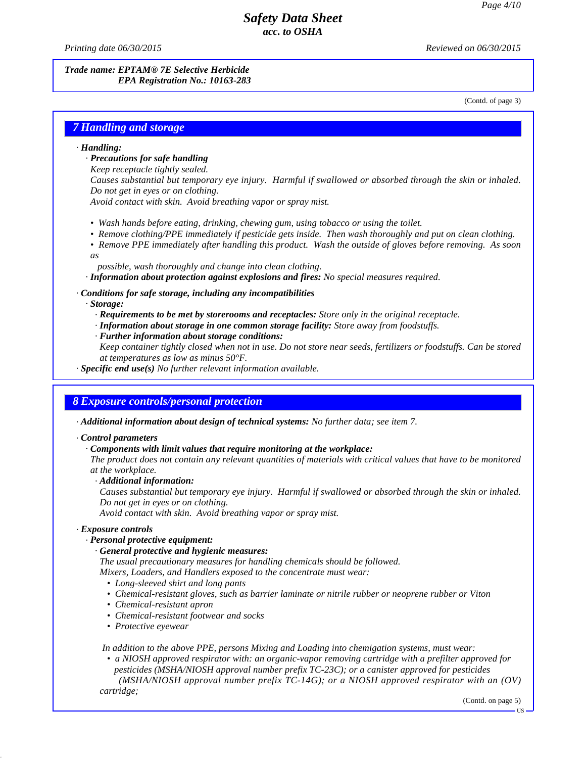*Printing date 06/30/2015 Reviewed on 06/30/2015*

## *Trade name: EPTAM® 7E Selective Herbicide EPA Registration No.: 10163-283*

(Contd. of page 3)

# *7 Handling and storage*

### *· Handling:*

- *· Precautions for safe handling*
- *Keep receptacle tightly sealed.*
- *Causes substantial but temporary eye injury. Harmful if swallowed or absorbed through the skin or inhaled. Do not get in eyes or on clothing.*

*Avoid contact with skin. Avoid breathing vapor or spray mist.*

- *• Wash hands before eating, drinking, chewing gum, using tobacco or using the toilet.*
- *• Remove clothing/PPE immediately if pesticide gets inside. Then wash thoroughly and put on clean clothing.*
- *• Remove PPE immediately after handling this product. Wash the outside of gloves before removing. As soon*
- *as*
	- *possible, wash thoroughly and change into clean clothing.*

*· Information about protection against explosions and fires: No special measures required.*

## *· Conditions for safe storage, including any incompatibilities*

*· Storage:*

- *· Requirements to be met by storerooms and receptacles: Store only in the original receptacle.*
- *· Information about storage in one common storage facility: Store away from foodstuf s.*
- *· Further information about storage conditions:*
- Keep container tightly closed when not in use. Do not store near seeds, fertilizers or foodstuffs. Can be stored *at temperatures as low as minus 50°F.*
- *· Specific end use(s) No further relevant information available.*

## *8 Exposure controls/personal protection*

*· Additional information about design of technical systems: No further data; see item 7.*

### *· Control parameters*

*· Components with limit values that require monitoring at the workplace:*

The product does not contain any relevant quantities of materials with critical values that have to be monitored *at the workplace.*

*· Additional information:*

*Causes substantial but temporary eye injury. Harmful if swallowed or absorbed through the skin or inhaled. Do not get in eyes or on clothing.*

*Avoid contact with skin. Avoid breathing vapor or spray mist.*

### *· Exposure controls*

41.0

### *· Personal protective equipment:*

### *· General protective and hygienic measures:*

*The usual precautionary measures for handling chemicals should be followed.*

*Mixers, Loaders, and Handlers exposed to the concentrate must wear:*

- *• Long-sleeved shirt and long pants*
- *• Chemical-resistant gloves, such as barrier laminate or nitrile rubber or neoprene rubber or Viton*
- *• Chemical-resistant apron*
- *• Chemical-resistant footwear and socks*
- *• Protective eyewear*

*In addition to the above PPE, persons Mixing and Loading into chemigation systems, must wear:*

*• a NIOSH approved respirator with: an organic-vapor removing cartridge with a prefilter approved for pesticides (MSHA/NIOSH approval number prefix TC-23C); or a canister approved for pesticides*

*(MSHA/NIOSH approval number prefix TC-14G); or a NIOSH approved respirator with an (OV) cartridge;*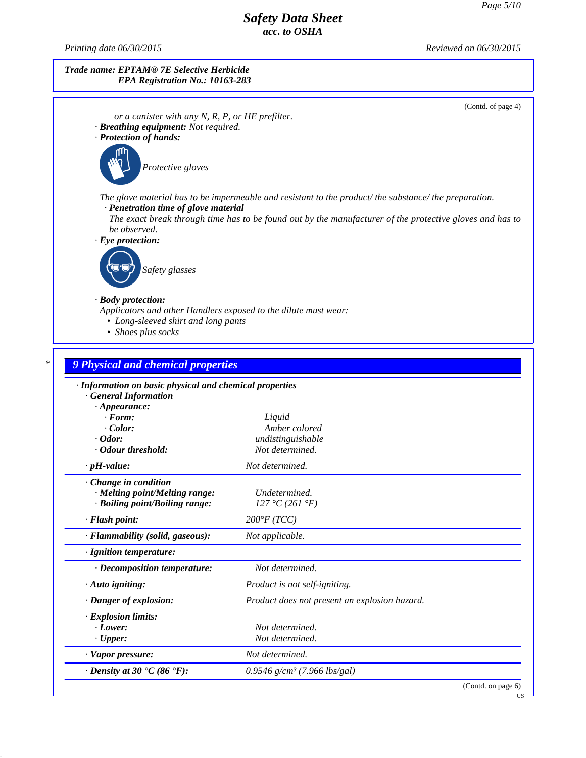*Printing date 06/30/2015 Reviewed on 06/30/2015*

## *Trade name: EPTAM® 7E Selective Herbicide EPA Registration No.: 10163-283*

(Contd. of page 4)

- *or a canister with any N, R, P, or HE prefilter. · Breathing equipment: Not required.*
- *· Protection of hands:*



*Protective gloves*

*The glove material has to be impermeable and resistant to the product/ the substance/ the preparation.*

*· Penetration time of glove material*

The exact break through time has to be found out by the manufacturer of the protective gloves and has to *be observed.*

*· Eye protection:*



## *· Body protection:*

41.0

- *Applicators and other Handlers exposed to the dilute must wear:*
	- *• Long-sleeved shirt and long pants*
	- *• Shoes plus socks*

# *\* 9 Physical and chemical properties · Information on basic physical and chemical properties · General Information · Appearance: · Form: Liquid · Color: Amber colored · Odor: undistinguishable · Odour threshold: Not determined. · pH-value: Not determined. · Change in condition · Melting point/Melting range: Undetermined. · Boiling point/Boiling range: 127 °C (261 °F) · Flash point: 200°F (TCC) · Flammability (solid, gaseous): Not applicable. · Ignition temperature: · Decomposition temperature: Not determined. · Auto igniting: Product is not self-igniting. · Danger of explosion: Product does not present an explosion hazard. · Explosion limits: · Lower: Not determined. · Upper: Not determined. · Vapor pressure: Not determined. · Density at 30 °C (86 °F): 0.9546 g/cm³ (7.966 lbs/gal)* (Contd. on page 6)

US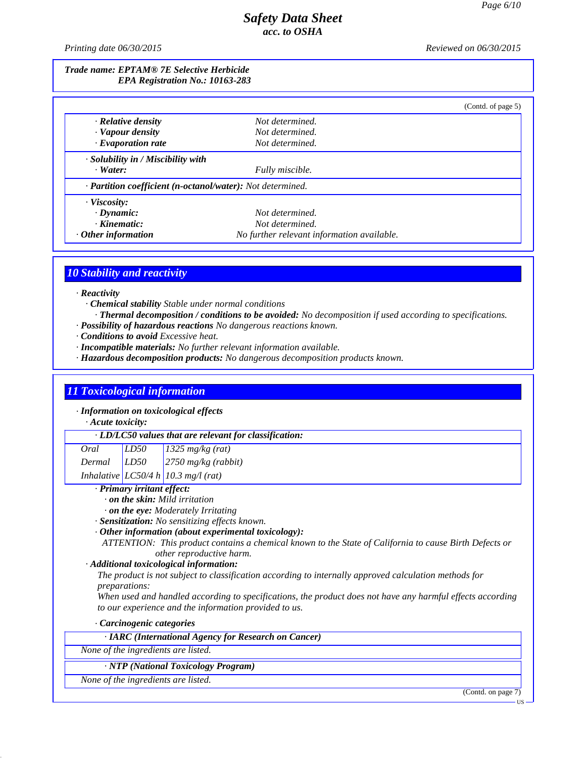*Printing date 06/30/2015 Reviewed on 06/30/2015*

## *Trade name: EPTAM® 7E Selective Herbicide EPA Registration No.: 10163-283*

|                                                            |                                            | (Contd. of page 5) |  |  |  |
|------------------------------------------------------------|--------------------------------------------|--------------------|--|--|--|
| $\cdot$ Relative density                                   | Not determined.                            |                    |  |  |  |
| · Vapour density                                           | Not determined.                            |                    |  |  |  |
| $\cdot$ Evaporation rate                                   | Not determined.                            |                    |  |  |  |
| · Solubility in / Miscibility with                         |                                            |                    |  |  |  |
| $\cdot$ Water:                                             | Fully miscible.                            |                    |  |  |  |
| · Partition coefficient (n-octanol/water): Not determined. |                                            |                    |  |  |  |
| $\cdot$ Viscosity:                                         |                                            |                    |  |  |  |
| $\cdot$ Dynamic:                                           | Not determined.                            |                    |  |  |  |
| $\cdot$ Kinematic:                                         | Not determined.                            |                    |  |  |  |
| $\cdot$ Other information                                  | No further relevant information available. |                    |  |  |  |

# *10 Stability and reactivity*

*· Reactivity*

- *· Chemical stability Stable under normal conditions*
- *· Thermal decomposition / conditions to be avoided: No decomposition if used according to specifications.*
- *· Possibility of hazardous reactions No dangerous reactions known.*
- *· Conditions to avoid Excessive heat.*
- *· Incompatible materials: No further relevant information available.*
- *· Hazardous decomposition products: No dangerous decomposition products known.*

# *11 Toxicological information*

*· Information on toxicological effects*

*· Acute toxicity:*

|  |  | $\cdot$ LD/LC50 values that are relevant for classification: |
|--|--|--------------------------------------------------------------|
|--|--|--------------------------------------------------------------|

| Oral   | LD50 | $1325 \text{ mg/kg}$ (rat)                   |
|--------|------|----------------------------------------------|
| Dermal | LD50 | $\frac{2750 \text{ mg/kg}}{(\text{rabbit})}$ |

*Inhalative LC50/4 h 10.3 mg/l (rat)*

## *· Primary irritant effect:*

- *· on the skin: Mild irritation*
- *· on the eye: Moderately Irritating*
- *· Sensitization: No sensitizing ef ects known.*
- *· Other information (about experimental toxicology):*
- *ATTENTION: This product contains a chemical known to the State of California to cause Birth Defects or other reproductive harm.*

## *· Additional toxicological information:*

*The product is not subject to classification according to internally approved calculation methods for preparations:*

When used and handled according to specifications, the product does not have any harmful effects according *to our experience and the information provided to us.*

*· Carcinogenic categories*

*· IARC (International Agency for Research on Cancer)*

*None of the ingredients are listed.*

*· NTP (National Toxicology Program)*

*None of the ingredients are listed.*

41.0

(Contd. on page 7)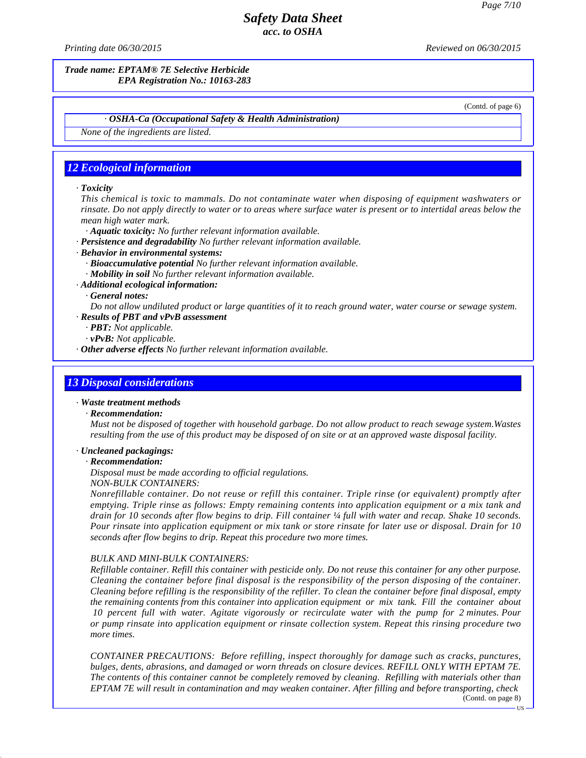*Printing date 06/30/2015 Reviewed on 06/30/2015*

*Trade name: EPTAM® 7E Selective Herbicide EPA Registration No.: 10163-283*

(Contd. of page 6)

#### *· OSHA-Ca (Occupational Safety & Health Administration)*

*None of the ingredients are listed.*

# *12 Ecological information*

#### *· Toxicity*

*This chemical is toxic to mammals. Do not contaminate water when disposing of equipment washwaters or* rinsate. Do not apply directly to water or to areas where surface water is present or to intertidal areas below the *mean high water mark.*

*· Aquatic toxicity: No further relevant information available.*

- *· Persistence and degradability No further relevant information available.*
- *· Behavior in environmental systems:*
	- *· Bioaccumulative potential No further relevant information available.*

*· Mobility in soil No further relevant information available.*

*· Additional ecological information:*

*· General notes:*

Do not allow undiluted product or large quantities of it to reach ground water, water course or sewage system. *· Results of PBT and vPvB assessment*

*· PBT: Not applicable.*

*· vPvB: Not applicable.*

*· Other adverse effects No further relevant information available.*

## *13 Disposal considerations*

#### *· Waste treatment methods*

#### *· Recommendation:*

*Must not be disposed of together with household garbage. Do notallow product to reach sewage system.Wastes* resulting from the use of this product may be disposed of on site or at an approved waste disposal facility.

### *· Uncleaned packagings:*

### *· Recommendation:*

41.0

*Disposal must be made according to of icial regulations.*

*NON-BULK CONTAINERS:*

*Nonrefillable container. Do not reuse or refill this container. Triple rinse (or equivalent) promptly after emptying. Triple rinse as follows: Empty remaining contents into application equipment or a mix tank and* drain for 10 seconds after flow begins to drip. Fill container 1/4 full with water and recap. Shake 10 seconds. Pour rinsate into application equipment or mix tank or store rinsate for later use or disposal. Drain for 10 *seconds after flow begins to drip. Repeat this procedure two more times.*

### *BULK AND MINI-BULK CONTAINERS:*

Refillable container. Refill this container with pesticide only. Do not reuse this container for any other purpose. *Cleaning the container before final disposal is the responsibility of the person disposing of the container.* Cleaning before refilling is the responsibility of the refiller. To clean the container before final disposal, empty *the remaining contents from this container into application equipment or mix tank. Fill the container about 10 percent full with water. Agitate vigorously or recirculate water with the pump for 2 minutes. Pour or pump rinsate into application equipment or rinsate collection system. Repeat this rinsing procedure two more times.*

*CONTAINER PRECAUTIONS: Before refilling, inspect thoroughly for damage such as cracks, punctures, bulges, dents, abrasions, and damaged or worn threads on closure devices. REFILL ONLY WITH EPTAM 7E. The contents of this container cannot be completely removed by cleaning. Refilling with materials other than EPTAM 7E will result in contamination and may weaken container. After filling and before transporting, check* (Contd. on page 8)

US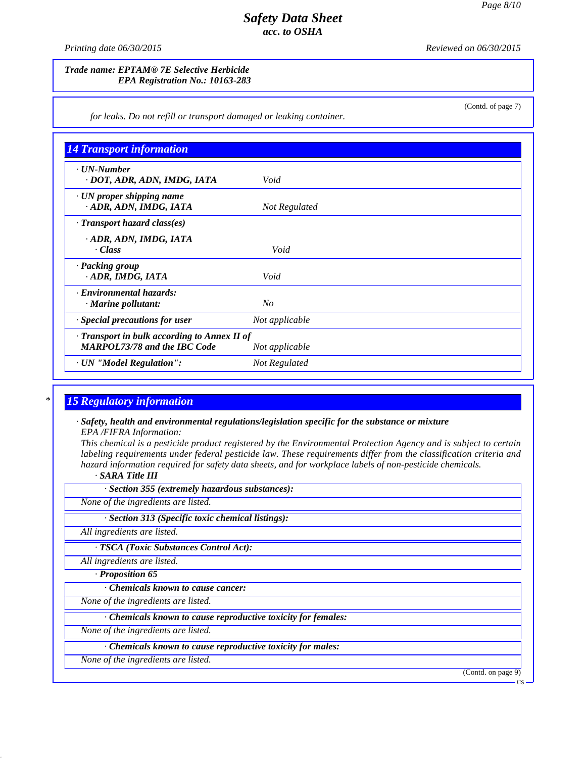(Contd. of page 7)

# *Safety Data Sheet acc. to OSHA*

*Printing date 06/30/2015 Reviewed on 06/30/2015*

## *Trade name: EPTAM® 7E Selective Herbicide EPA Registration No.: 10163-283*

*for leaks. Do not refill or transport damaged or leaking container.*

| <b>14 Transport information</b>                                                           |                |
|-------------------------------------------------------------------------------------------|----------------|
| $\cdot$ UN-Number<br>· DOT, ADR, ADN, IMDG, IATA                                          | Void           |
| · UN proper shipping name<br>· ADR, ADN, IMDG, IATA                                       | Not Regulated  |
| $\cdot$ Transport hazard class(es)                                                        |                |
| · ADR, ADN, IMDG, IATA<br>· Class                                                         | Void           |
| · Packing group<br>· ADR, IMDG, IATA                                                      | Void           |
| · Environmental hazards:<br>$\cdot$ Marine pollutant:                                     | No             |
| Special precautions for user                                                              | Not applicable |
| $\cdot$ Transport in bulk according to Annex II of<br><b>MARPOL73/78 and the IBC Code</b> | Not applicable |
| · UN "Model Regulation":                                                                  | Not Regulated  |

# *\* 15 Regulatory information*

*· Safety, health and environmental regulations/legislation specific for the substance or mixture EPA /FIFRA Information:*

This chemical is a pesticide product registered by the Environmental Protection Agency and is subject to certain *labeling requirements under federal pesticide law. These requirements differ from the classification criteria and hazard information required for safety data sheets, and for workplace labels of non-pesticide chemicals.*

*· SARA Title III*

| $\cdot$ Section 355 (extremely hazardous substances): |  |  |  |  |
|-------------------------------------------------------|--|--|--|--|
|-------------------------------------------------------|--|--|--|--|

*None of the ingredients are listed.*

*· Section 313 (Specific toxic chemical listings):*

*All ingredients are listed.*

*· TSCA (Toxic Substances Control Act):*

*All ingredients are listed.*

*· Proposition 65*

41.0

*· Chemicals known to cause cancer:*

*None of the ingredients are listed.*

*· Chemicals known to cause reproductive toxicity for females:*

*None of the ingredients are listed.*

*· Chemicals known to cause reproductive toxicity for males:*

*None of the ingredients are listed.*

(Contd. on page 9)

US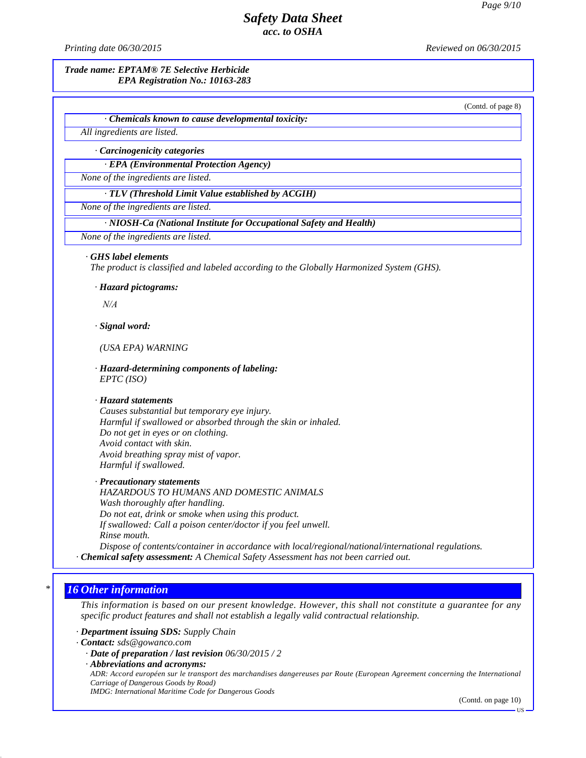*Printing date 06/30/2015 Reviewed on 06/30/2015*

*Trade name: EPTAM® 7E Selective Herbicide EPA Registration No.: 10163-283*

(Contd. of page 8)

*· Chemicals known to cause developmental toxicity:*

*All ingredients are listed.*

*· Carcinogenicity categories*

*· EPA (Environmental Protection Agency)*

*None of the ingredients are listed.*

*· TLV (Threshold Limit Value established by ACGIH)*

*None of the ingredients are listed.*

*· NIOSH-Ca (National Institute for Occupational Safety and Health)*

*None of the ingredients are listed.*

#### *· GHS label elements*

*The product is classified and labeled according to the Globally Harmonized System (GHS).*

*· Hazard pictograms:*

*N/A*

*· Signal word:*

*N/A*<br>*Signal word:*<br>*(USA EPA) WARNING*<br>Hazard determining components of

*· Hazard-determining components of labeling: EPTC (ISO)*

### *· Hazard statements*

*Causes substantial but temporary eye injury. Harmful if swallowed or absorbed through the skin or inhaled. Do not get in eyes or on clothing. Avoid contact with skin. Avoid breathing spray mist of vapor. Harmful if swallowed.*

*· Precautionary statements HAZARDOUS TO HUMANS AND DOMESTIC ANIMALS Wash thoroughly after handling. Do not eat, drink or smoke when using this product. If swallowed: Call a poison center/doctor ifyou feel unwell. Rinse mouth.*

*Dispose of contents/container in accordance with local/regional/national/international regulations. · Chemical safety assessment: A Chemical Safety Assessment has not been carried out.*

## *\* 16 Other information*

41.0

This information is based on our present knowledge. However, this shall not constitute a guarantee for any *specific product features and shall not establish a legally valid contractual relationship.*

*· Department issuing SDS: Supply Chain*

*· Contact: sds@gowanco.com*

*· Date of preparation / last revision 06/30/2015 / 2*

*· Abbreviations and acronyms:*

ADR: Accord européen sur le transport des marchandises dangereuses par Route (European Agreement concerning the International *Carriage of Dangerous Goods by Road)*

*IMDG: International Maritime Code for Dangerous Goods*

(Contd. on page 10)